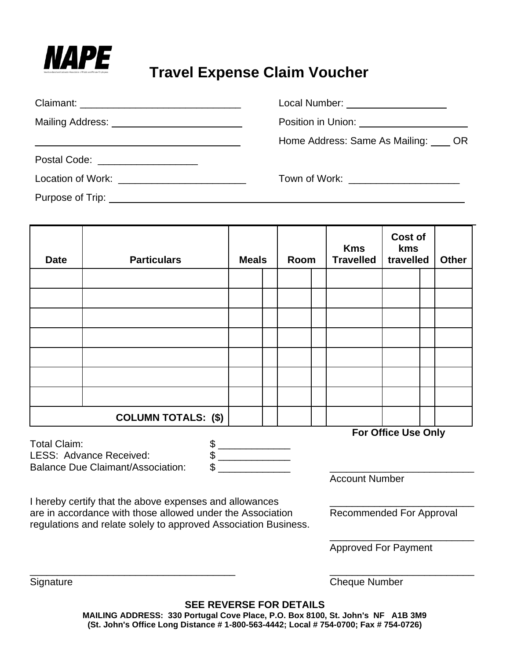

# **MAPE**<br>Travel Expense Claim Voucher

|                                                             | Local Number: ___________________                 |
|-------------------------------------------------------------|---------------------------------------------------|
| Mailing Address: _____________________________              | Position in Union: <u>_______________________</u> |
| <u> 1980 - Johann Stoff, amerikansk politiker (d. 1980)</u> | Home Address: Same As Mailing: OR                 |
| Postal Code: ____________________                           |                                                   |
| Location of Work: ___________________________               | Town of Work: ________________________            |
|                                                             |                                                   |

| <b>Date</b> | <b>Particulars</b>         | <b>Meals</b> |  | Room |  | <b>Kms</b><br><b>Travelled</b> | Cost of<br>kms<br>travelled |  | <b>Other</b> |
|-------------|----------------------------|--------------|--|------|--|--------------------------------|-----------------------------|--|--------------|
|             |                            |              |  |      |  |                                |                             |  |              |
|             |                            |              |  |      |  |                                |                             |  |              |
|             |                            |              |  |      |  |                                |                             |  |              |
|             |                            |              |  |      |  |                                |                             |  |              |
|             |                            |              |  |      |  |                                |                             |  |              |
|             |                            |              |  |      |  |                                |                             |  |              |
|             |                            |              |  |      |  |                                |                             |  |              |
|             | <b>COLUMN TOTALS: (\$)</b> |              |  |      |  |                                |                             |  |              |
|             |                            |              |  |      |  |                                | <b>For Office Use Only</b>  |  |              |

Total Claim: \$ \_\_\_\_\_\_\_\_\_\_\_\_\_ LESS: Advance Received:  $$$ <br>Balance Due Claimant/Association: \$ Balance Due Claimant/Association:

Account Number

I hereby certify that the above expenses and allowances are in accordance with those allowed under the Association Recommended For Approval regulations and relate solely to approved Association Business.

\_\_\_\_\_\_\_\_\_\_\_\_\_\_\_\_\_\_\_\_\_\_\_\_\_\_

Approved For Payment

Signature Cheque Number

**SEE REVERSE FOR DETAILS**

\_\_\_\_\_\_\_\_\_\_\_\_\_\_\_\_\_\_\_\_\_\_\_\_\_\_\_\_\_\_\_\_\_\_\_\_\_ \_\_\_\_\_\_\_\_\_\_\_\_\_\_\_\_\_\_\_\_\_\_\_\_\_\_

**MAILING ADDRESS: 330 Portugal Cove Place, P.O. Box 8100, St. John's NF A1B 3M9 (St. John's Office Long Distance # 1-800-563-4442; Local # 754-0700; Fax # 754-0726)**